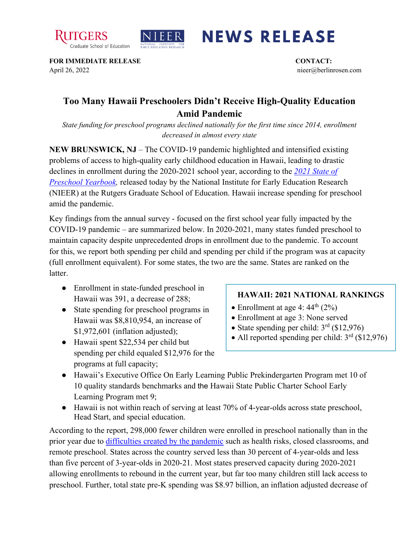



## **NEWS RELEASE**

**FOR IMMEDIATE RELEASE CONTACT:**  April 26, 2022 nieer@berlinrosen.com

## **Too Many Hawaii Preschoolers Didn't Receive High-Quality Education Amid Pandemic**

*State funding for preschool programs declined nationally for the first time since 2014, enrollment decreased in almost every state*

**NEW BRUNSWICK, NJ** – The COVID-19 pandemic highlighted and intensified existing problems of access to high-quality early childhood education in Hawaii, leading to drastic declines in enrollment during the 2020-2021 school year, according to the *[2021 State of](https://nieer.org/state-preschool-yearbooks-yearbook2021)  [Preschool Yearbook,](https://nieer.org/state-preschool-yearbooks-yearbook2021)* released today by the National Institute for Early Education Research (NIEER) at the Rutgers Graduate School of Education. Hawaii increase spending for preschool amid the pandemic.

Key findings from the annual survey - focused on the first school year fully impacted by the COVID-19 pandemic – are summarized below. In 2020-2021, many states funded preschool to maintain capacity despite unprecedented drops in enrollment due to the pandemic. To account for this, we report both spending per child and spending per child if the program was at capacity (full enrollment equivalent). For some states, the two are the same. States are ranked on the latter.

- Enrollment in state-funded preschool in Hawaii was 391, a decrease of 288;
- State spending for preschool programs in Hawaii was \$8,810,954, an increase of \$1,972,601 (inflation adjusted);
- Hawaii spent \$22,534 per child but spending per child equaled \$12,976 for the programs at full capacity;

## **HAWAII: 2021 NATIONAL RANKINGS**

- Enrollment at age 4:  $44^{\text{th}}$  (2%)
- Enrollment at age 3: None served
- State spending per child:  $3<sup>rd</sup>$  (\$12,976)
- All reported spending per child:  $3<sup>rd</sup>$  (\$12,976)
- Hawaii's Executive Office On Early Learning Public Prekindergarten Program met 10 of 10 quality standards benchmarks and the Hawaii State Public Charter School Early Learning Program met 9;
- Hawaii is not within reach of serving at least 70% of 4-year-olds across state preschool, Head Start, and special education.

According to the report, 298,000 fewer children were enrolled in preschool nationally than in the prior year due to [difficulties created by the pandemic](https://nieer.org/wp-content/uploads/2021/02/NIEER_Seven_Impacts_of_the_Pandemic_on_Young_Children_and_their_Parents.pdf) such as health risks, closed classrooms, and remote preschool. States across the country served less than 30 percent of 4-year-olds and less than five percent of 3-year-olds in 2020-21. Most states preserved capacity during 2020-2021 allowing enrollments to rebound in the current year, but far too many children still lack access to preschool. Further, total state pre-K spending was \$8.97 billion, an inflation adjusted decrease of